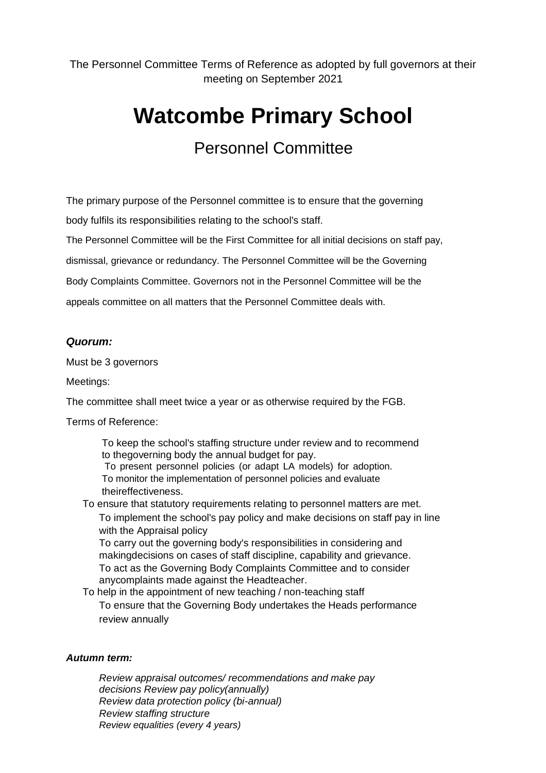The Personnel Committee Terms of Reference as adopted by full governors at their meeting on September 2021

# **Watcombe Primary School**

## Personnel Committee

The primary purpose of the Personnel committee is to ensure that the governing body fulfils its responsibilities relating to the school's staff.

The Personnel Committee will be the First Committee for all initial decisions on staff pay,

dismissal, grievance or redundancy. The Personnel Committee will be the Governing

Body Complaints Committee. Governors not in the Personnel Committee will be the

appeals committee on all matters that the Personnel Committee deals with.

### *Quorum:*

Must be 3 governors

Meetings:

The committee shall meet twice a year or as otherwise required by the FGB.

Terms of Reference:

To keep the school's staffing structure under review and to recommend to thegoverning body the annual budget for pay. To present personnel policies (or adapt LA models) for adoption. To monitor the implementation of personnel policies and evaluate theireffectiveness.

To ensure that statutory requirements relating to personnel matters are met. To implement the school's pay policy and make decisions on staff pay in line with the Appraisal policy

To carry out the governing body's responsibilities in considering and makingdecisions on cases of staff discipline, capability and grievance. To act as the Governing Body Complaints Committee and to consider anycomplaints made against the Headteacher.

To help in the appointment of new teaching / non-teaching staff To ensure that the Governing Body undertakes the Heads performance review annually

#### *Autumn term:*

*Review appraisal outcomes/ recommendations and make pay decisions Review pay policy(annually) Review data protection policy (bi-annual) Review staffing structure Review equalities (every 4 years)*